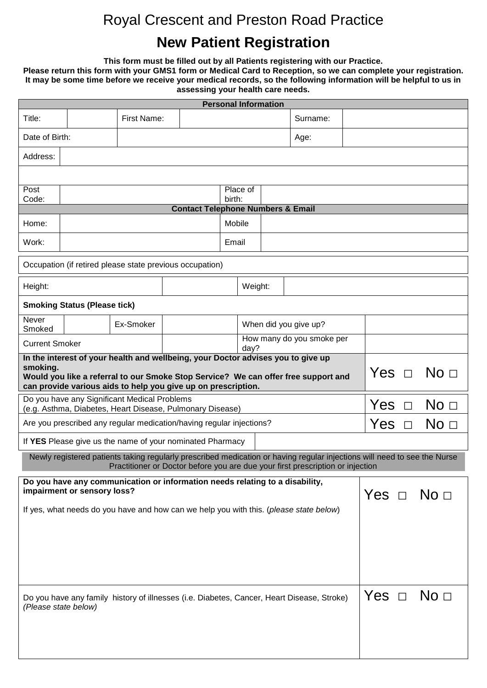# Royal Crescent and Preston Road Practice

# **New Patient Registration**

**This form must be filled out by all Patients registering with our Practice.**

**Please return this form with your GMS1 form or Medical Card to Reception, so we can complete your registration. It may be some time before we receive your medical records, so the following information will be helpful to us in assessing your health care needs.**

| <b>Personal Information</b>                                                                                                                                                                                                                                                             |                                                                                                                          |             |                                              |                    |                                   |        |                       |                 |  |  |  |
|-----------------------------------------------------------------------------------------------------------------------------------------------------------------------------------------------------------------------------------------------------------------------------------------|--------------------------------------------------------------------------------------------------------------------------|-------------|----------------------------------------------|--------------------|-----------------------------------|--------|-----------------------|-----------------|--|--|--|
| Title:                                                                                                                                                                                                                                                                                  |                                                                                                                          | First Name: |                                              |                    |                                   |        | Surname:              |                 |  |  |  |
|                                                                                                                                                                                                                                                                                         | Date of Birth:                                                                                                           |             |                                              |                    | Age:                              |        |                       |                 |  |  |  |
| Address:                                                                                                                                                                                                                                                                                |                                                                                                                          |             |                                              |                    |                                   |        |                       |                 |  |  |  |
|                                                                                                                                                                                                                                                                                         |                                                                                                                          |             |                                              |                    |                                   |        |                       |                 |  |  |  |
| Post<br>Code:                                                                                                                                                                                                                                                                           |                                                                                                                          |             |                                              | Place of<br>birth: |                                   |        |                       |                 |  |  |  |
|                                                                                                                                                                                                                                                                                         |                                                                                                                          |             | <b>Contact Telephone Numbers &amp; Email</b> |                    |                                   |        |                       |                 |  |  |  |
| Home:                                                                                                                                                                                                                                                                                   |                                                                                                                          |             |                                              | Mobile             |                                   |        |                       |                 |  |  |  |
| Work:                                                                                                                                                                                                                                                                                   |                                                                                                                          |             |                                              | Email              |                                   |        |                       |                 |  |  |  |
|                                                                                                                                                                                                                                                                                         | Occupation (if retired please state previous occupation)                                                                 |             |                                              |                    |                                   |        |                       |                 |  |  |  |
| Height:                                                                                                                                                                                                                                                                                 |                                                                                                                          |             |                                              |                    | Weight:                           |        |                       |                 |  |  |  |
|                                                                                                                                                                                                                                                                                         | <b>Smoking Status (Please tick)</b>                                                                                      |             |                                              |                    |                                   |        |                       |                 |  |  |  |
| Never<br>Smoked                                                                                                                                                                                                                                                                         |                                                                                                                          | Ex-Smoker   |                                              |                    |                                   |        | When did you give up? |                 |  |  |  |
| <b>Current Smoker</b>                                                                                                                                                                                                                                                                   |                                                                                                                          |             |                                              |                    | How many do you smoke per<br>day? |        |                       |                 |  |  |  |
| In the interest of your health and wellbeing, your Doctor advises you to give up<br>smoking.<br>Would you like a referral to our Smoke Stop Service? We can offer free support and<br>can provide various aids to help you give up on prescription.                                     |                                                                                                                          |             |                                              |                    | Yes $\Box$                        |        | No <sub>1</sub>       |                 |  |  |  |
| Do you have any Significant Medical Problems<br>(e.g. Asthma, Diabetes, Heart Disease, Pulmonary Disease)                                                                                                                                                                               |                                                                                                                          |             |                                              |                    |                                   | Yes    | $\Box$                | No <sub>1</sub> |  |  |  |
| Are you prescribed any regular medication/having regular injections?                                                                                                                                                                                                                    |                                                                                                                          |             |                                              |                    | Yes                               | $\Box$ | No <sub>1</sub>       |                 |  |  |  |
|                                                                                                                                                                                                                                                                                         | If YES Please give us the name of your nominated Pharmacy                                                                |             |                                              |                    |                                   |        |                       |                 |  |  |  |
|                                                                                                                                                                                                                                                                                         | Newly registered patients taking regularly prescribed medication or having regular injections will need to see the Nurse |             |                                              |                    |                                   |        |                       |                 |  |  |  |
| Practitioner or Doctor before you are due your first prescription or injection<br>Do you have any communication or information needs relating to a disability,<br>impairment or sensory loss?<br>If yes, what needs do you have and how can we help you with this. (please state below) |                                                                                                                          |             |                                              |                    | Yes $\Box$                        |        | No <sub>1</sub>       |                 |  |  |  |
|                                                                                                                                                                                                                                                                                         |                                                                                                                          |             |                                              |                    |                                   |        |                       |                 |  |  |  |
| Do you have any family history of illnesses (i.e. Diabetes, Cancer, Heart Disease, Stroke)<br>(Please state below)                                                                                                                                                                      |                                                                                                                          |             |                                              |                    |                                   |        | Yes $\Box$ No $\Box$  |                 |  |  |  |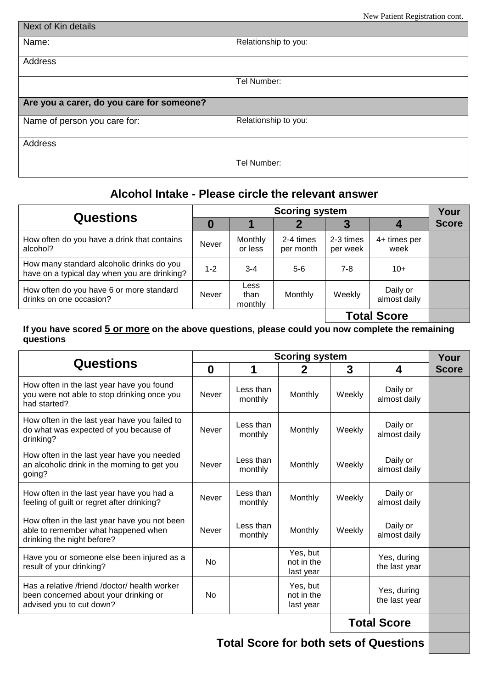| Next of Kin details                       |                      |
|-------------------------------------------|----------------------|
| Name:                                     | Relationship to you: |
| Address                                   |                      |
|                                           | Tel Number:          |
| Are you a carer, do you care for someone? |                      |
| Name of person you care for:              | Relationship to you: |
| Address                                   |                      |
|                                           | Tel Number:          |

## **Alcohol Intake - Please circle the relevant answer**

|                                                                                           |         | <b>Scoring system</b>   |                        |                       |                          |              |  |
|-------------------------------------------------------------------------------------------|---------|-------------------------|------------------------|-----------------------|--------------------------|--------------|--|
| <b>Questions</b>                                                                          | 0       |                         |                        |                       |                          | <b>Score</b> |  |
| How often do you have a drink that contains<br>alcohol?                                   | Never   | Monthly<br>or less      | 2-4 times<br>per month | 2-3 times<br>per week | 4+ times per<br>week     |              |  |
| How many standard alcoholic drinks do you<br>have on a typical day when you are drinking? | $1 - 2$ | $3 - 4$                 | $5-6$                  | $7 - 8$               | $10+$                    |              |  |
| How often do you have 6 or more standard<br>drinks on one occasion?                       | Never   | Less<br>than<br>monthly | Monthly                | Weekly                | Daily or<br>almost daily |              |  |
|                                                                                           |         |                         |                        |                       | <b>Total Score</b>       |              |  |

#### **If you have scored 5 or more on the above questions, please could you now complete the remaining questions**

|                                                                                                                    |              | Your                 |                                     |        |                              |              |
|--------------------------------------------------------------------------------------------------------------------|--------------|----------------------|-------------------------------------|--------|------------------------------|--------------|
| <b>Questions</b>                                                                                                   | $\bf{0}$     |                      | 2                                   | 3      | 4                            | <b>Score</b> |
| How often in the last year have you found<br>you were not able to stop drinking once you<br>had started?           | <b>Never</b> | Less than<br>monthly | Monthly                             | Weekly | Daily or<br>almost daily     |              |
| How often in the last year have you failed to<br>do what was expected of you because of<br>drinking?               | <b>Never</b> | Less than<br>monthly | Monthly                             | Weekly | Daily or<br>almost daily     |              |
| How often in the last year have you needed<br>an alcoholic drink in the morning to get you<br>going?               | <b>Never</b> | Less than<br>monthly | Monthly                             | Weekly | Daily or<br>almost daily     |              |
| How often in the last year have you had a<br>feeling of guilt or regret after drinking?                            | <b>Never</b> | Less than<br>monthly | Monthly                             | Weekly | Daily or<br>almost daily     |              |
| How often in the last year have you not been<br>able to remember what happened when<br>drinking the night before?  | <b>Never</b> | Less than<br>monthly | Monthly                             | Weekly | Daily or<br>almost daily     |              |
| Have you or someone else been injured as a<br>result of your drinking?                                             | No           |                      | Yes, but<br>not in the<br>last year |        | Yes, during<br>the last year |              |
| Has a relative /friend /doctor/ health worker<br>been concerned about your drinking or<br>advised you to cut down? | No           |                      | Yes, but<br>not in the<br>last year |        | Yes, during<br>the last year |              |
|                                                                                                                    |              |                      |                                     |        | <b>Total Score</b>           |              |

**Total Score for both sets of Questions**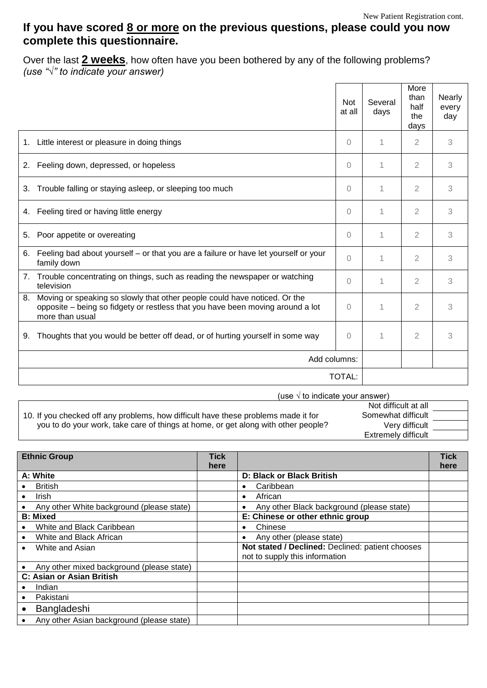## **If you have scored 8 or more on the previous questions, please could you now complete this questionnaire.**

Over the last **2 weeks**, how often have you been bothered by any of the following problems? *(use "√" to indicate your answer)*

|                                                                                                                                                                                      | <b>Not</b><br>at all | Several<br>days | More<br>than<br>half<br>the<br>days | Nearly<br>every<br>day |
|--------------------------------------------------------------------------------------------------------------------------------------------------------------------------------------|----------------------|-----------------|-------------------------------------|------------------------|
| Little interest or pleasure in doing things<br>1.                                                                                                                                    | $\bigcap$            | 1               | $\overline{2}$                      | 3                      |
| Feeling down, depressed, or hopeless<br>2.                                                                                                                                           | $\bigcap$            | 1               | 2                                   | 3                      |
| Trouble falling or staying asleep, or sleeping too much<br>3.                                                                                                                        | $\Omega$             | 1               | $\overline{2}$                      | 3                      |
| Feeling tired or having little energy<br>4.                                                                                                                                          | $\Omega$             | 1               | 2                                   | 3                      |
| Poor appetite or overeating<br>5.                                                                                                                                                    | $\bigcap$            | 1               | $\overline{2}$                      | 3                      |
| Feeling bad about yourself - or that you are a failure or have let yourself or your<br>6.<br>family down                                                                             | $\Omega$             | 1               | $\overline{2}$                      | 3                      |
| Trouble concentrating on things, such as reading the newspaper or watching<br>7.<br>television                                                                                       | $\Omega$             | 1               | $\overline{2}$                      | 3                      |
| Moving or speaking so slowly that other people could have noticed. Or the<br>8.<br>opposite - being so fidgety or restless that you have been moving around a lot<br>more than usual | $\Omega$             | 1               | $\overline{2}$                      | 3                      |
| Thoughts that you would be better off dead, or of hurting yourself in some way<br>9.                                                                                                 | $\Omega$             | 1               | $\overline{2}$                      | 3                      |
|                                                                                                                                                                                      | Add columns:         |                 |                                     |                        |
|                                                                                                                                                                                      | <b>TOTAL:</b>        |                 |                                     |                        |

(use  $\sqrt{ }$  to indicate your answer)

10. If you checked off any problems, how difficult have these problems made it for you to do your work, take care of things at home, or get along with other people? Not difficult at all Somewhat difficult Very difficult Extremely difficult

| <b>Ethnic Group</b>                       | <b>Tick</b> |                                                        | <b>Tick</b> |
|-------------------------------------------|-------------|--------------------------------------------------------|-------------|
|                                           | here        |                                                        | here        |
| A: White                                  |             | <b>D: Black or Black British</b>                       |             |
| <b>British</b>                            |             | Caribbean<br>$\bullet$                                 |             |
| Irish<br>$\bullet$                        |             | African<br>$\bullet$                                   |             |
| Any other White background (please state) |             | Any other Black background (please state)<br>$\bullet$ |             |
| <b>B: Mixed</b>                           |             | E: Chinese or other ethnic group                       |             |
| White and Black Caribbean                 |             | Chinese<br>$\bullet$                                   |             |
| White and Black African                   |             | Any other (please state)<br>$\bullet$                  |             |
| White and Asian                           |             | Not stated / Declined: Declined: patient chooses       |             |
|                                           |             | not to supply this information                         |             |
| Any other mixed background (please state) |             |                                                        |             |
| C: Asian or Asian British                 |             |                                                        |             |
| Indian                                    |             |                                                        |             |
| Pakistani                                 |             |                                                        |             |
| Bangladeshi                               |             |                                                        |             |
| Any other Asian background (please state) |             |                                                        |             |